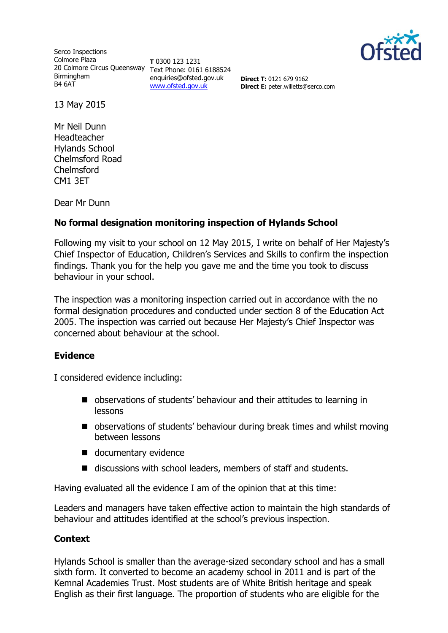

Serco Inspections Colmore Plaza 20 Colmore Circus Queensway Text Phone: 0161 6188524 Birmingham B4 6AT

**T** 0300 123 1231 enquiries@ofsted.gov.uk [www.ofsted.gov.uk](http://www.ofsted.gov.uk/)

**Direct T:** 0121 679 9162 **Direct E:** peter.willetts@serco.com

13 May 2015

Mr Neil Dunn Headteacher Hylands School Chelmsford Road Chelmsford CM1 3ET

Dear Mr Dunn

# **No formal designation monitoring inspection of Hylands School**

Following my visit to your school on 12 May 2015, I write on behalf of Her Majesty's Chief Inspector of Education, Children's Services and Skills to confirm the inspection findings. Thank you for the help you gave me and the time you took to discuss behaviour in your school.

The inspection was a monitoring inspection carried out in accordance with the no formal designation procedures and conducted under section 8 of the Education Act 2005. The inspection was carried out because Her Majesty's Chief Inspector was concerned about behaviour at the school.

## **Evidence**

I considered evidence including:

- observations of students' behaviour and their attitudes to learning in lessons
- observations of students' behaviour during break times and whilst moving between lessons
- documentary evidence
- discussions with school leaders, members of staff and students.

Having evaluated all the evidence I am of the opinion that at this time:

Leaders and managers have taken effective action to maintain the high standards of behaviour and attitudes identified at the school's previous inspection.

## **Context**

Hylands School is smaller than the average-sized secondary school and has a small sixth form. It converted to become an academy school in 2011 and is part of the Kemnal Academies Trust. Most students are of White British heritage and speak English as their first language. The proportion of students who are eligible for the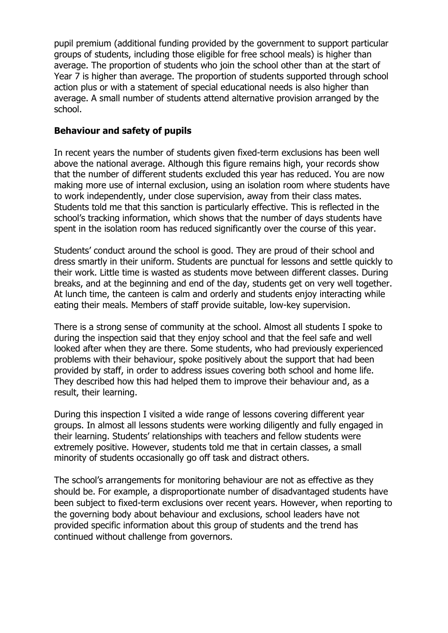pupil premium (additional funding provided by the government to support particular groups of students, including those eligible for free school meals) is higher than average. The proportion of students who join the school other than at the start of Year 7 is higher than average. The proportion of students supported through school action plus or with a statement of special educational needs is also higher than average. A small number of students attend alternative provision arranged by the school.

## **Behaviour and safety of pupils**

In recent years the number of students given fixed-term exclusions has been well above the national average. Although this figure remains high, your records show that the number of different students excluded this year has reduced. You are now making more use of internal exclusion, using an isolation room where students have to work independently, under close supervision, away from their class mates. Students told me that this sanction is particularly effective. This is reflected in the school's tracking information, which shows that the number of days students have spent in the isolation room has reduced significantly over the course of this year.

Students' conduct around the school is good. They are proud of their school and dress smartly in their uniform. Students are punctual for lessons and settle quickly to their work. Little time is wasted as students move between different classes. During breaks, and at the beginning and end of the day, students get on very well together. At lunch time, the canteen is calm and orderly and students enjoy interacting while eating their meals. Members of staff provide suitable, low-key supervision.

There is a strong sense of community at the school. Almost all students I spoke to during the inspection said that they enjoy school and that the feel safe and well looked after when they are there. Some students, who had previously experienced problems with their behaviour, spoke positively about the support that had been provided by staff, in order to address issues covering both school and home life. They described how this had helped them to improve their behaviour and, as a result, their learning.

During this inspection I visited a wide range of lessons covering different year groups. In almost all lessons students were working diligently and fully engaged in their learning. Students' relationships with teachers and fellow students were extremely positive. However, students told me that in certain classes, a small minority of students occasionally go off task and distract others.

The school's arrangements for monitoring behaviour are not as effective as they should be. For example, a disproportionate number of disadvantaged students have been subject to fixed-term exclusions over recent years. However, when reporting to the governing body about behaviour and exclusions, school leaders have not provided specific information about this group of students and the trend has continued without challenge from governors.